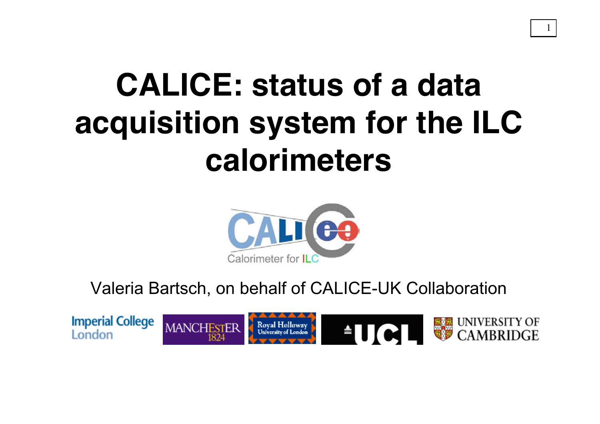# **CALICE: status of a data acquisition system for the ILC calorimeters**

1



Valeria Bartsch, on behalf of CALICE-UK Collaboration

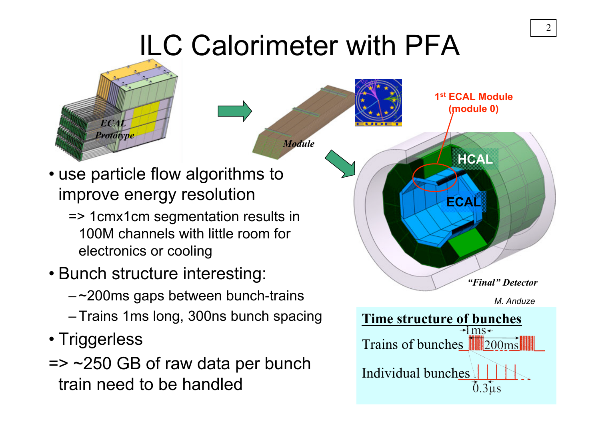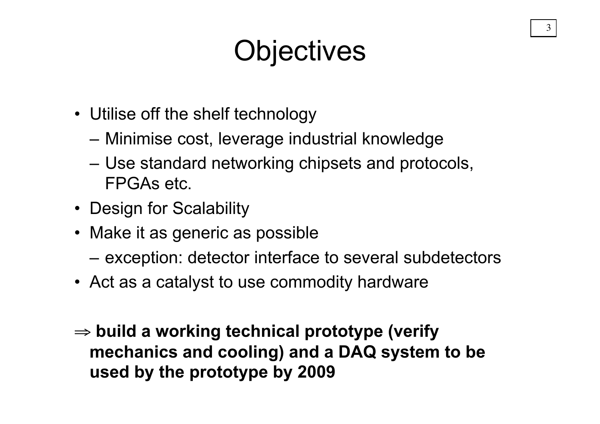### **Objectives**

- Utilise off the shelf technology
	- Minimise cost, leverage industrial knowledge
	- Use standard networking chipsets and protocols, FPGAs etc.
- Design for Scalability
- Make it as generic as possible
	- exception: detector interface to several subdetectors
- Act as a catalyst to use commodity hardware
- ⇒ **build a working technical prototype (verify mechanics and cooling) and a DAQ system to be used by the prototype by 2009**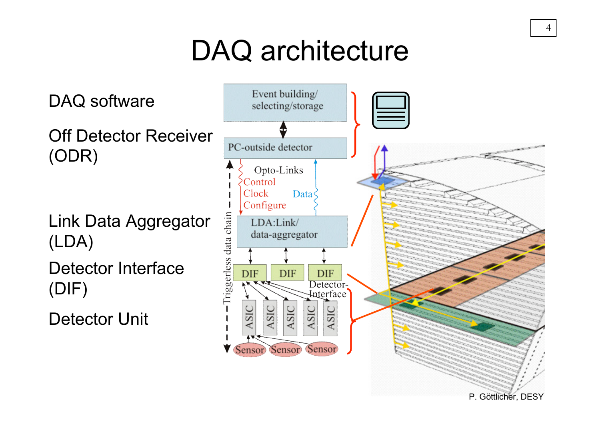# DAQ architecture

Link Data Aggregator (LDA) Detector Interface (ODR)

(DIF)

DAQ software

Detector Unit

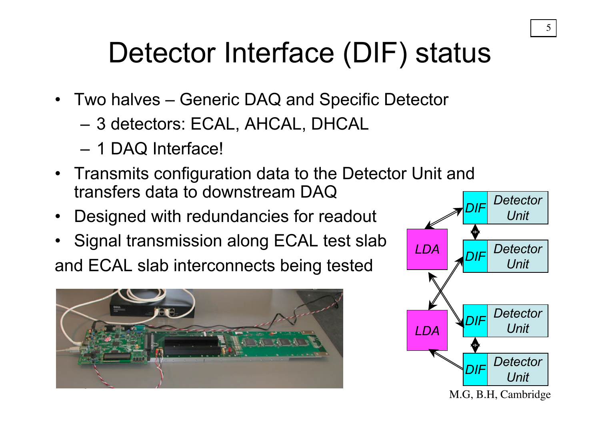# Detector Interface (DIF) status

- Two halves Generic DAQ and Specific Detector
	- 3 detectors: ECAL, AHCAL, DHCAL
	- 1 DAQ Interface!
- Transmits configuration data to the Detector Unit and transfers data to downstream DAQ
- Designed with redundancies for readout
- Signal transmission along ECAL test slab and ECAL slab interconnects being tested



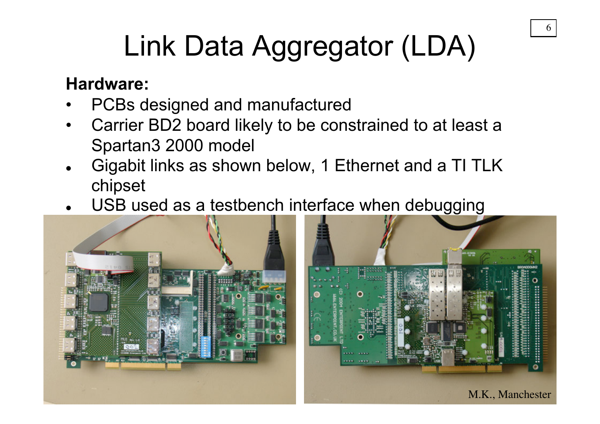# Link Data Aggregator (LDA)

#### **Hardware:**

- PCBs designed and manufactured
- Carrier BD2 board likely to be constrained to at least a Spartan3 2000 model
- Gigabit links as shown below, 1 Ethernet and a TI TLK chipset
- USB used as a testbench interface when debugging



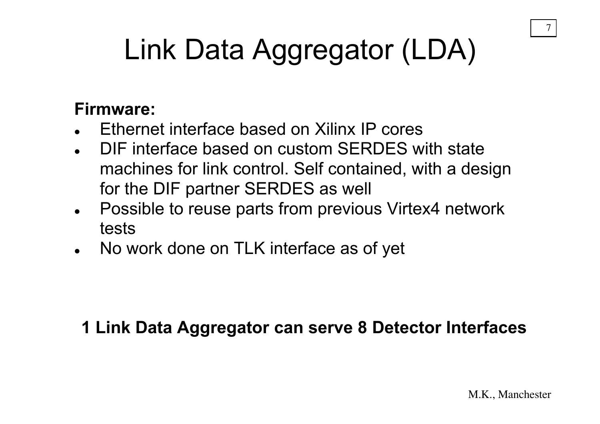# Link Data Aggregator (LDA)

#### **Firmware:**

- Ethernet interface based on Xilinx IP cores
- DIF interface based on custom SERDES with state machines for link control. Self contained, with a design for the DIF partner SERDES as well
- Possible to reuse parts from previous Virtex4 network tests
- No work done on TLK interface as of yet

#### **1 Link Data Aggregator can serve 8 Detector Interfaces**

7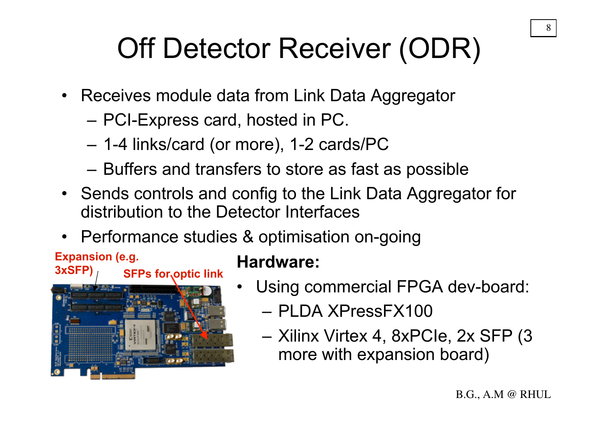## Off Detector Receiver (ODR)

- Receives module data from Link Data Aggregator
	- PCI-Express card, hosted in PC.
	- 1-4 links/card (or more), 1-2 cards/PC
	- Buffers and transfers to store as fast as possible
- Sends controls and config to the Link Data Aggregator for distribution to the Detector Interfaces
- Performance studies & optimisation on-going

#### **Expansion (e.g. 3xSFP)**

**SFPs for optic link** 



#### **Hardware:**

- Using commercial FPGA dev-board:
	- PLDA XPressFX100
	- Xilinx Virtex 4, 8xPCIe, 2x SFP (3 more with expansion board)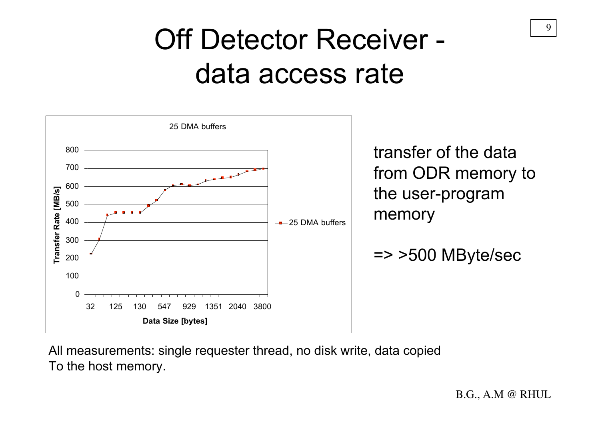### Off Detector Receiver data access rate



All measurements: single requester thread, no disk write, data copied To the host memory.

B.G., A.M @ RHUL

9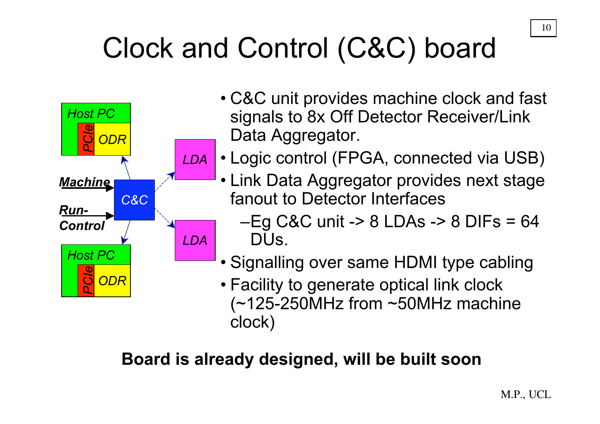# Clock and Control (C&C) board



- C&C unit provides machine clock and fast signals to 8x Off Detector Receiver/Link Data Aggregator.
- Logic control (FPGA, connected via USB)
	- Link Data Aggregator provides next stage fanout to Detector Interfaces
		- $-Eg$  C&C unit -> 8 LDAs -> 8 DIFs = 64 DUs.
	- Signalling over same HDMI type cabling

• Facility to generate optical link clock (~125-250MHz from ~50MHz machine clock)

#### **Board is already designed, will be built soon**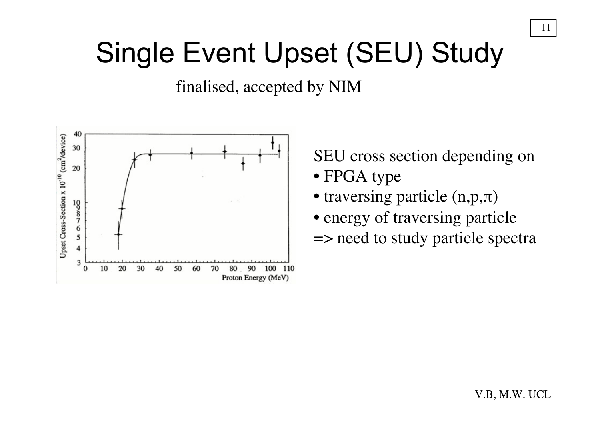### Single Event Upset (SEU) Study

finalised, accepted by NIM



SEU cross section depending on

- FPGA type
- traversing particle (n,p,π)
- energy of traversing particle
- => need to study particle spectra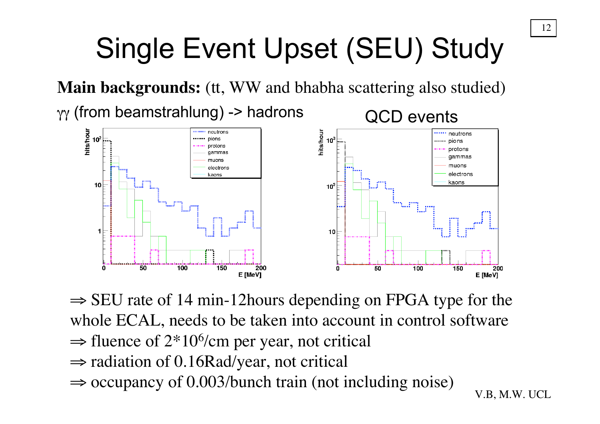# Single Event Upset (SEU) Study

**Main backgrounds:** (tt, WW and bhabha scattering also studied)

γγ (from beamstrahlung) -> hadrons QCD events



 $\Rightarrow$  SEU rate of 14 min-12 hours depending on FPGA type for the whole ECAL, needs to be taken into account in control software  $\Rightarrow$  fluence of 2<sup>\*</sup>10<sup>6</sup>/cm per year, not critical ⇒ radiation of 0.16Rad/year, not critical  $\Rightarrow$  occupancy of 0.003/bunch train (not including noise)

V.B, M.W. UCL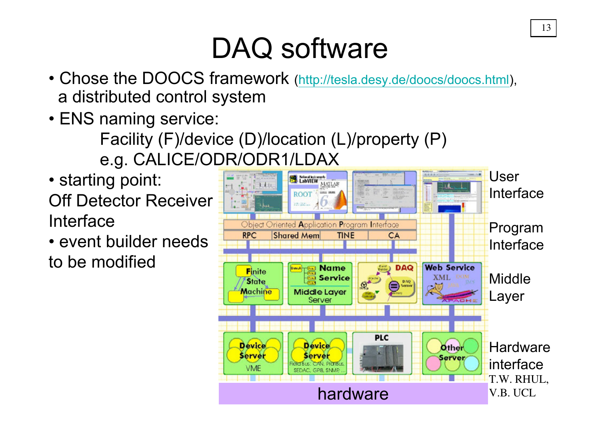### DAQ software

- Chose the DOOCS framework (http://tesla.desy.de/doocs/doocs.html), a distributed control system
- ENS naming service:
	- Facility (F)/device (D)/location (L)/property (P) e.g. CALICE/ODR/ODR1/LDAX
- starting point: Off Detector Receiver Interface
- event builder needs to be modified

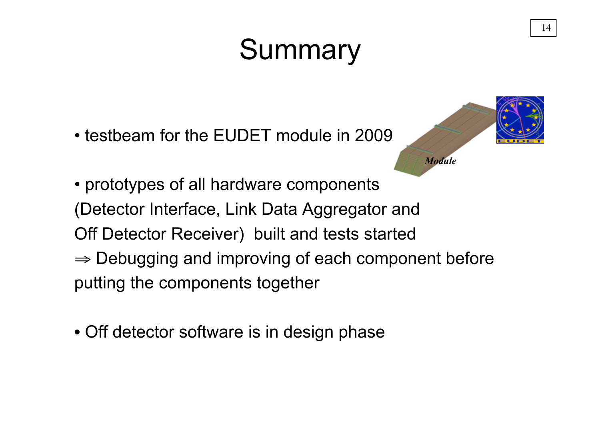## **Summary**

• testbeam for the EUDET module in 2009



- prototypes of all hardware components (Detector Interface, Link Data Aggregator and Off Detector Receiver) built and tests started  $\Rightarrow$  Debugging and improving of each component before putting the components together
- Off detector software is in design phase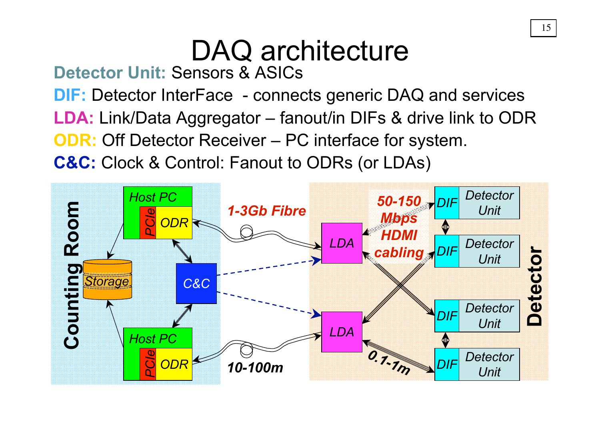# DAQ architecture

**Detector Unit:** Sensors & ASICs

**DIF:** Detector InterFace - connects generic DAQ and services **LDA:** Link/Data Aggregator – fanout/in DIFs & drive link to ODR

**ODR:** Off Detector Receiver – PC interface for system.

**C&C:** Clock & Control: Fanout to ODRs (or LDAs)

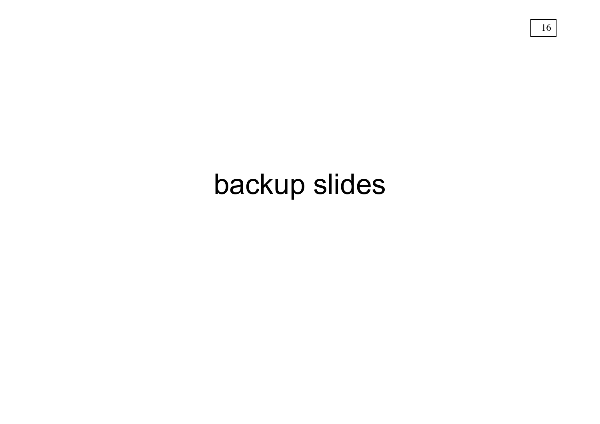### backup slides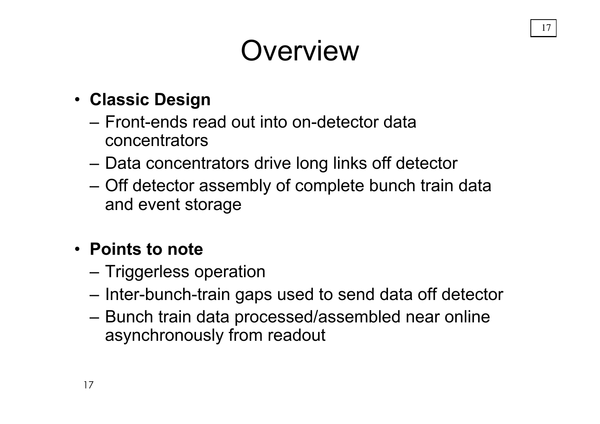# **Overview**

- **Classic Design**
	- Front-ends read out into on-detector data concentrators
	- Data concentrators drive long links off detector
	- Off detector assembly of complete bunch train data and event storage

#### • **Points to note**

- Triggerless operation
- Inter-bunch-train gaps used to send data off detector
- Bunch train data processed/assembled near online asynchronously from readout